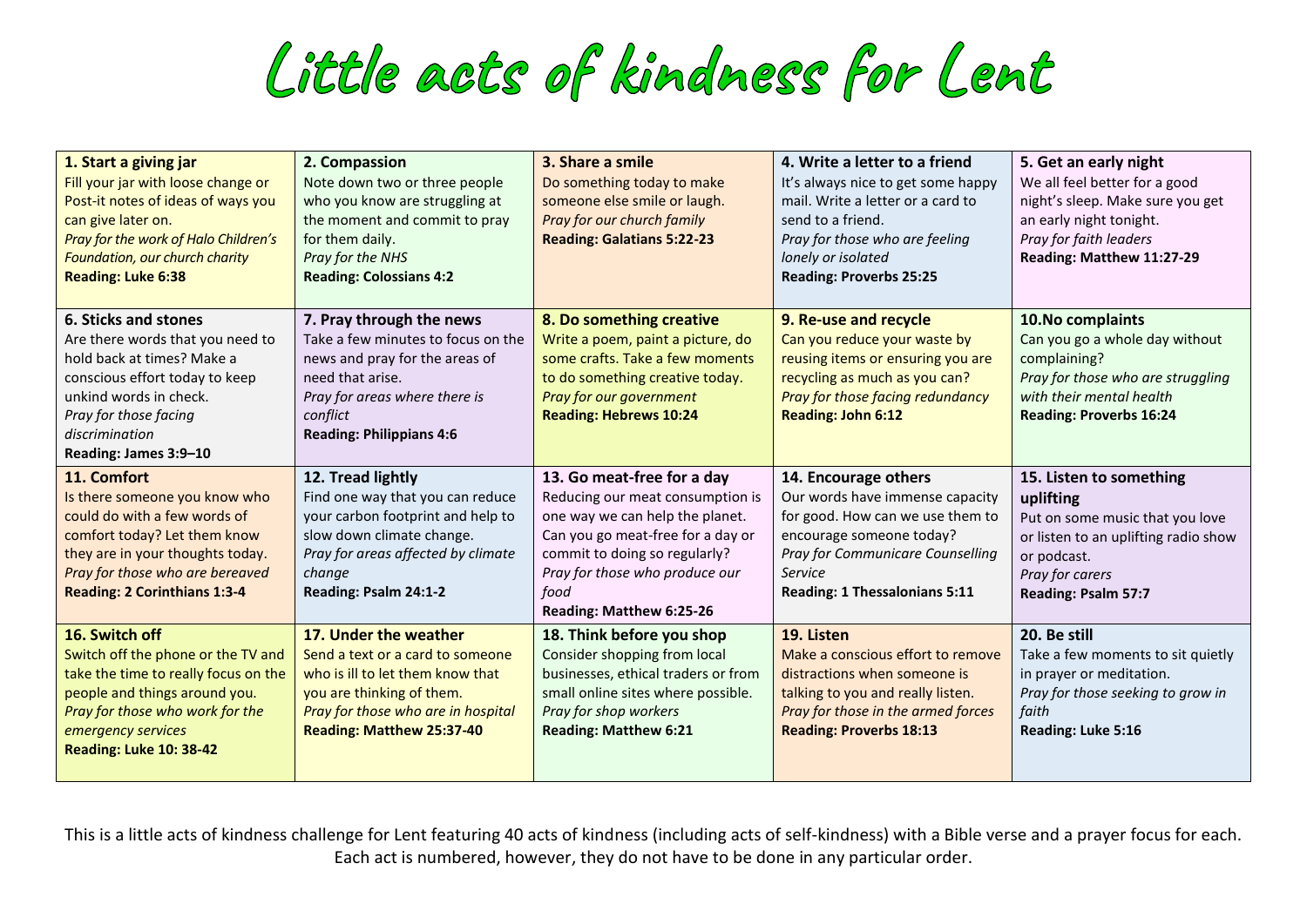Little acts of kindness for Lent

| 1. Start a giving jar<br>Fill your jar with loose change or<br>Post-it notes of ideas of ways you<br>can give later on.<br>Pray for the work of Halo Children's<br>Foundation, our church charity<br><b>Reading: Luke 6:38</b> | 2. Compassion<br>Note down two or three people<br>who you know are struggling at<br>the moment and commit to pray<br>for them daily.<br>Pray for the NHS<br><b>Reading: Colossians 4:2</b>           | 3. Share a smile<br>Do something today to make<br>someone else smile or laugh.<br>Pray for our church family<br><b>Reading: Galatians 5:22-23</b>                                                                                             | 4. Write a letter to a friend<br>It's always nice to get some happy<br>mail. Write a letter or a card to<br>send to a friend.<br>Pray for those who are feeling<br>lonely or isolated<br><b>Reading: Proverbs 25:25</b> | 5. Get an early night<br>We all feel better for a good<br>night's sleep. Make sure you get<br>an early night tonight.<br>Pray for faith leaders<br>Reading: Matthew 11:27-29    |
|--------------------------------------------------------------------------------------------------------------------------------------------------------------------------------------------------------------------------------|------------------------------------------------------------------------------------------------------------------------------------------------------------------------------------------------------|-----------------------------------------------------------------------------------------------------------------------------------------------------------------------------------------------------------------------------------------------|-------------------------------------------------------------------------------------------------------------------------------------------------------------------------------------------------------------------------|---------------------------------------------------------------------------------------------------------------------------------------------------------------------------------|
| 6. Sticks and stones<br>Are there words that you need to<br>hold back at times? Make a<br>conscious effort today to keep<br>unkind words in check.<br>Pray for those facing<br>discrimination<br>Reading: James 3:9-10         | 7. Pray through the news<br>Take a few minutes to focus on the<br>news and pray for the areas of<br>need that arise.<br>Pray for areas where there is<br>conflict<br><b>Reading: Philippians 4:6</b> | 8. Do something creative<br>Write a poem, paint a picture, do<br>some crafts. Take a few moments<br>to do something creative today.<br>Pray for our government<br><b>Reading: Hebrews 10:24</b>                                               | 9. Re-use and recycle<br>Can you reduce your waste by<br>reusing items or ensuring you are<br>recycling as much as you can?<br>Pray for those facing redundancy<br><b>Reading: John 6:12</b>                            | 10. No complaints<br>Can you go a whole day without<br>complaining?<br>Pray for those who are struggling<br>with their mental health<br><b>Reading: Proverbs 16:24</b>          |
| 11. Comfort<br>Is there someone you know who<br>could do with a few words of<br>comfort today? Let them know<br>they are in your thoughts today.<br>Pray for those who are bereaved<br><b>Reading: 2 Corinthians 1:3-4</b>     | 12. Tread lightly<br>Find one way that you can reduce<br>your carbon footprint and help to<br>slow down climate change.<br>Pray for areas affected by climate<br>change<br>Reading: Psalm 24:1-2     | 13. Go meat-free for a day<br>Reducing our meat consumption is<br>one way we can help the planet.<br>Can you go meat-free for a day or<br>commit to doing so regularly?<br>Pray for those who produce our<br>food<br>Reading: Matthew 6:25-26 | 14. Encourage others<br>Our words have immense capacity<br>for good. How can we use them to<br>encourage someone today?<br>Pray for Communicare Counselling<br>Service<br><b>Reading: 1 Thessalonians 5:11</b>          | 15. Listen to something<br>uplifting<br>Put on some music that you love<br>or listen to an uplifting radio show<br>or podcast.<br>Pray for carers<br><b>Reading: Psalm 57:7</b> |
| 16. Switch off<br>Switch off the phone or the TV and<br>take the time to really focus on the<br>people and things around you.<br>Pray for those who work for the<br>emergency services<br><b>Reading: Luke 10: 38-42</b>       | 17. Under the weather<br>Send a text or a card to someone<br>who is ill to let them know that<br>you are thinking of them.<br>Pray for those who are in hospital<br>Reading: Matthew 25:37-40        | 18. Think before you shop<br>Consider shopping from local<br>businesses, ethical traders or from<br>small online sites where possible.<br>Pray for shop workers<br><b>Reading: Matthew 6:21</b>                                               | 19. Listen<br>Make a conscious effort to remove<br>distractions when someone is<br>talking to you and really listen.<br>Pray for those in the armed forces<br><b>Reading: Proverbs 18:13</b>                            | 20. Be still<br>Take a few moments to sit quietly<br>in prayer or meditation.<br>Pray for those seeking to grow in<br>faith<br>Reading: Luke 5:16                               |

This is a little acts of kindness challenge for Lent featuring 40 acts of kindness (including acts of self-kindness) with a Bible verse and a prayer focus for each. Each act is numbered, however, they do not have to be done in any particular order.